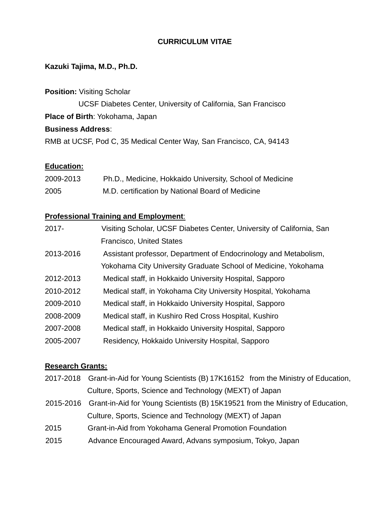# **CURRICULUM VITAE**

# **Kazuki Tajima, M.D., Ph.D.**

**Position:** Visiting Scholar UCSF Diabetes Center, University of California, San Francisco **Place of Birth**: Yokohama, Japan **Business Address**: RMB at UCSF, Pod C, 35 Medical Center Way, San Francisco, CA, 94143

#### **Education:**

| 2009-2013 | Ph.D., Medicine, Hokkaido University, School of Medicine |
|-----------|----------------------------------------------------------|
| 2005      | M.D. certification by National Board of Medicine         |

## **Professional Training and Employment**:

| 2017-     | Visiting Scholar, UCSF Diabetes Center, University of California, San |
|-----------|-----------------------------------------------------------------------|
|           | <b>Francisco, United States</b>                                       |
| 2013-2016 | Assistant professor, Department of Endocrinology and Metabolism,      |
|           | Yokohama City University Graduate School of Medicine, Yokohama        |
| 2012-2013 | Medical staff, in Hokkaido University Hospital, Sapporo               |
| 2010-2012 | Medical staff, in Yokohama City University Hospital, Yokohama         |
| 2009-2010 | Medical staff, in Hokkaido University Hospital, Sapporo               |
| 2008-2009 | Medical staff, in Kushiro Red Cross Hospital, Kushiro                 |
| 2007-2008 | Medical staff, in Hokkaido University Hospital, Sapporo               |
| 2005-2007 | Residency, Hokkaido University Hospital, Sapporo                      |
|           |                                                                       |

## **Research Grants:**

- 2017-2018 Grant-in-Aid for Young Scientists (B) 17K16152 from the Ministry of Education, Culture, Sports, Science and Technology (MEXT) of Japan
- 2015-2016 Grant-in-Aid for Young Scientists (B) 15K19521 from the Ministry of Education, Culture, Sports, Science and Technology (MEXT) of Japan
- 2015 Grant-in-Aid from Yokohama General Promotion Foundation
- 2015 Advance Encouraged Award, Advans symposium, Tokyo, Japan